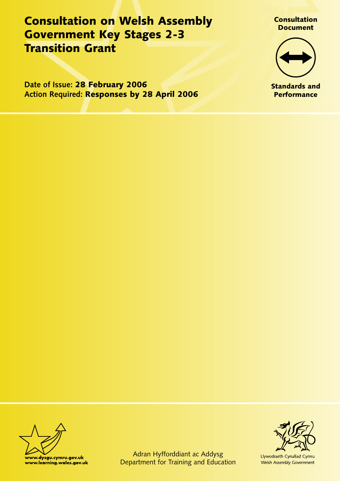Consultation on Welsh Assembly Government Key Stages 2-3 Transition Grant

**Date of Issue:** 28 February 2006 **Action Required:** Responses by 28 April 2006





Standards and **Performance** 





Llywodraeth Cynulliad Cymru Welsh Assembly Government

Adran Hyfforddiant ac Addysg Department for Training and Education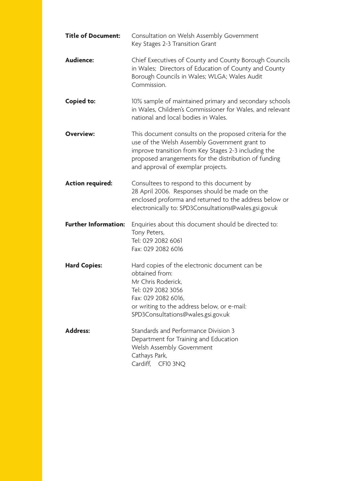| <b>Title of Document:</b>   | Consultation on Welsh Assembly Government<br>Key Stages 2-3 Transition Grant                                                                                                                                                                                    |  |
|-----------------------------|-----------------------------------------------------------------------------------------------------------------------------------------------------------------------------------------------------------------------------------------------------------------|--|
| <b>Audience:</b>            | Chief Executives of County and County Borough Councils<br>in Wales; Directors of Education of County and County<br>Borough Councils in Wales; WLGA; Wales Audit<br>Commission.                                                                                  |  |
| <b>Copied to:</b>           | 10% sample of maintained primary and secondary schools<br>in Wales, Children's Commissioner for Wales, and relevant<br>national and local bodies in Wales.                                                                                                      |  |
| <b>Overview:</b>            | This document consults on the proposed criteria for the<br>use of the Welsh Assembly Government grant to<br>improve transition from Key Stages 2-3 including the<br>proposed arrangements for the distribution of funding<br>and approval of exemplar projects. |  |
| <b>Action required:</b>     | Consultees to respond to this document by<br>28 April 2006. Responses should be made on the<br>enclosed proforma and returned to the address below or<br>electronically to: SPD3Consultations@wales.gsi.gov.uk                                                  |  |
| <b>Further Information:</b> | Enquiries about this document should be directed to:<br>Tony Peters,<br>Tel: 029 2082 6061<br>Fax: 029 2082 6016                                                                                                                                                |  |
| <b>Hard Copies:</b>         | Hard copies of the electronic document can be<br>obtained from:<br>Mr Chris Roderick,<br>Tel: 029 2082 3056<br>Fax: 029 2082 6016,<br>or writing to the address below, or e-mail:<br>SPD3Consultations@wales.gsi.gov.uk                                         |  |
| <b>Address:</b>             | Standards and Performance Division 3<br>Department for Training and Education<br>Welsh Assembly Government<br>Cathays Park,<br>Cardiff,<br>CF10 3NQ                                                                                                             |  |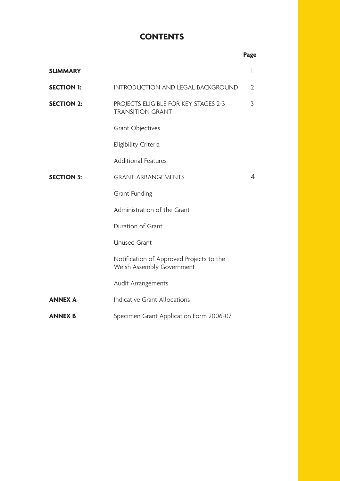# **CONTENTS**

|                   |                                                                       | Page           |
|-------------------|-----------------------------------------------------------------------|----------------|
| <b>SUMMARY</b>    |                                                                       | 1              |
| <b>SECTION 1:</b> | <b>INTRODUCTION AND LEGAL BACKGROUND</b>                              | $\overline{2}$ |
| <b>SECTION 2:</b> | PROJECTS ELIGIBLE FOR KEY STAGES 2-3<br><b>TRANSITION GRANT</b>       | 3              |
|                   | <b>Grant Objectives</b>                                               |                |
|                   | Eligibility Criteria                                                  |                |
|                   | <b>Additional Features</b>                                            |                |
| <b>SECTION 3:</b> | <b>GRANT ARRANGEMENTS</b>                                             | $\overline{4}$ |
|                   | <b>Grant Funding</b>                                                  |                |
|                   | Administration of the Grant                                           |                |
|                   | Duration of Grant                                                     |                |
|                   | <b>Unused Grant</b>                                                   |                |
|                   | Notification of Approved Projects to the<br>Welsh Assembly Government |                |
|                   | Audit Arrangements                                                    |                |
| <b>ANNEX A</b>    | <b>Indicative Grant Allocations</b>                                   |                |
| <b>ANNEX B</b>    | Specimen Grant Application Form 2006-07                               |                |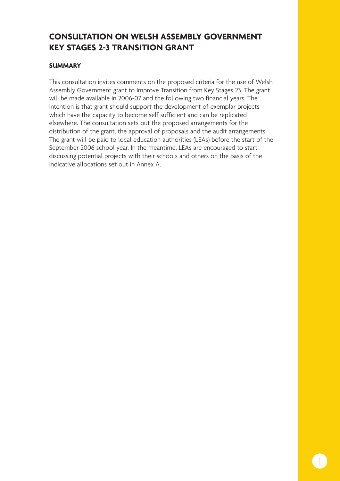# **CONSULTATION ON WELSH ASSEMBLY GOVERNMENT KEY STAGES 2-3 TRANSITION GRANT**

### **SUMMARY**

This consultation invites comments on the proposed criteria for the use of Welsh Assembly Government grant to Improve Transition from Key Stages 23. The grant will be made available in 2006-07 and the following two financial years. The intention is that grant should support the development of exemplar projects which have the capacity to become self sufficient and can be replicated elsewhere. The consultation sets out the proposed arrangements for the distribution of the grant, the approval of proposals and the audit arrangements. The grant will be paid to local education authorities (LEAs) before the start of the September 2006 school year. In the meantime, LEAs are encouraged to start discussing potential projects with their schools and others on the basis of the indicative allocations set out in Annex A.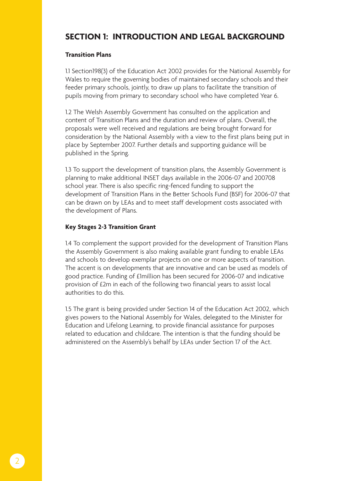## **SECTION 1: INTRODUCTION AND LEGAL BACKGROUND**

#### **Transition Plans**

1.1 Section198(3) of the Education Act 2002 provides for the National Assembly for Wales to require the governing bodies of maintained secondary schools and their feeder primary schools, jointly, to draw up plans to facilitate the transition of pupils moving from primary to secondary school who have completed Year 6.

1.2 The Welsh Assembly Government has consulted on the application and content of Transition Plans and the duration and review of plans. Overall, the proposals were well received and regulations are being brought forward for consideration by the National Assembly with a view to the first plans being put in place by September 2007. Further details and supporting guidance will be published in the Spring.

1.3 To support the development of transition plans, the Assembly Government is planning to make additional INSET days available in the 2006-07 and 200708 school year. There is also specific ring-fenced funding to support the development of Transition Plans in the Better Schools Fund (BSF) for 2006-07 that can be drawn on by LEAs and to meet staff development costs associated with the development of Plans.

#### **Key Stages 2-3 Transition Grant**

1.4 To complement the support provided for the development of Transition Plans the Assembly Government is also making available grant funding to enable LEAs and schools to develop exemplar projects on one or more aspects of transition. The accent is on developments that are innovative and can be used as models of good practice. Funding of £1million has been secured for 2006-07 and indicative provision of £2m in each of the following two financial years to assist local authorities to do this.

1.5 The grant is being provided under Section 14 of the Education Act 2002, which gives powers to the National Assembly for Wales, delegated to the Minister for Education and Lifelong Learning, to provide financial assistance for purposes related to education and childcare. The intention is that the funding should be administered on the Assembly's behalf by LEAs under Section 17 of the Act.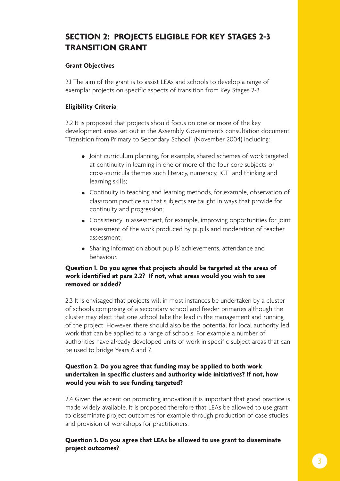# **SECTION 2: PROJECTS ELIGIBLE FOR KEY STAGES 2-3 TRANSITION GRANT**

#### **Grant Objectives**

2.1 The aim of the grant is to assist LEAs and schools to develop a range of exemplar projects on specific aspects of transition from Key Stages 2-3.

### **Eligibility Criteria**

2.2 It is proposed that projects should focus on one or more of the key development areas set out in the Assembly Government's consultation document "Transition from Primary to Secondary School" (November 2004) including:

- Joint curriculum planning, for example, shared schemes of work targeted at continuity in learning in one or more of the four core subjects or cross-curricula themes such literacy, numeracy, ICT and thinking and learning skills;
- Continuity in teaching and learning methods, for example, observation of classroom practice so that subjects are taught in ways that provide for continuity and progression;
- Consistency in assessment, for example, improving opportunities for joint assessment of the work produced by pupils and moderation of teacher assessment;
- Sharing information about pupils' achievements, attendance and behaviour.

#### **Question 1. Do you agree that projects should be targeted at the areas of work identified at para 2.2? If not, what areas would you wish to see removed or added?**

2.3 It is envisaged that projects will in most instances be undertaken by a cluster of schools comprising of a secondary school and feeder primaries although the cluster may elect that one school take the lead in the management and running of the project. However, there should also be the potential for local authority led work that can be applied to a range of schools. For example a number of authorities have already developed units of work in specific subject areas that can be used to bridge Years 6 and 7.

### **Question 2. Do you agree that funding may be applied to both work undertaken in specific clusters and authority wide initiatives? If not, how would you wish to see funding targeted?**

2.4 Given the accent on promoting innovation it is important that good practice is made widely available. It is proposed therefore that LEAs be allowed to use grant to disseminate project outcomes for example through production of case studies and provision of workshops for practitioners.

### **Question 3. Do you agree that LEAs be allowed to use grant to disseminate project outcomes?**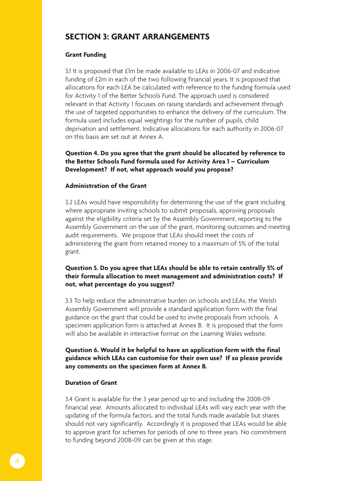## **SECTION 3: GRANT ARRANGEMENTS**

#### **Grant Funding**

3.1 It is proposed that £1m be made available to LEAs in 2006-07 and indicative funding of £2m in each of the two following financial years. It is proposed that allocations for each LEA be calculated with reference to the funding formula used for Activity 1 of the Better Schools Fund. The approach used is considered relevant in that Activity 1 focuses on raising standards and achievement through the use of targeted opportunities to enhance the delivery of the curriculum. The formula used includes equal weightings for the number of pupils, child deprivation and settlement. Indicative allocations for each authority in 2006-07 on this basis are set out at Annex A.

**Question 4. Do you agree that the grant should be allocated by reference to the Better Schools Fund formula used for Activity Area 1 – Curriculum Development? If not, what approach would you propose?** 

#### **Administration of the Grant**

3.2 LEAs would have responsibility for determining the use of the grant including where appropriate inviting schools to submit proposals, approving proposals against the eligibility criteria set by the Assembly Government, reporting to the Assembly Government on the use of the grant, monitoring outcomes and meeting audit requirements. We propose that LEAs should meet the costs of administering the grant from retained money to a maximum of 5% of the total grant.

#### **Question 5. Do you agree that LEAs should be able to retain centrally 5% of their formula allocation to meet management and administration costs? If not, what percentage do you suggest?**

3.3 To help reduce the administrative burden on schools and LEAs, the Welsh Assembly Government will provide a standard application form with the final guidance on the grant that could be used to invite proposals from schools. A specimen application form is attached at Annex B. It is proposed that the form will also be available in interactive format on the Learning Wales website.

**Question 6. Would it be helpful to have an application form with the final guidance which LEAs can customise for their own use? If so please provide any comments on the specimen form at Annex B.** 

#### **Duration of Grant**

3.4 Grant is available for the 3 year period up to and including the 2008-09 financial year. Amounts allocated to individual LEAs will vary each year with the updating of the formula factors, and the total funds made available but shares should not vary significantly. Accordingly it is proposed that LEAs would be able to approve grant for schemes for periods of one to three years. No commitment to funding beyond 2008-09 can be given at this stage.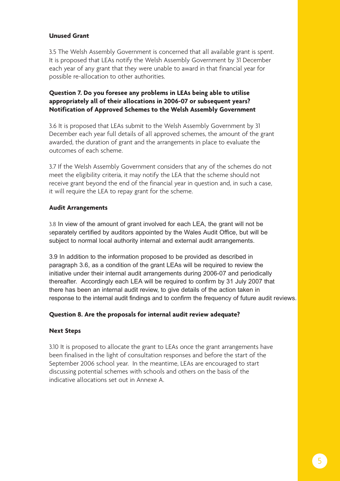#### **Unused Grant**

3.5 The Welsh Assembly Government is concerned that all available grant is spent. It is proposed that LEAs notify the Welsh Assembly Government by 31 December each year of any grant that they were unable to award in that financial year for possible re-allocation to other authorities.

#### **Question 7. Do you foresee any problems in LEAs being able to utilise appropriately all of their allocations in 2006-07 or subsequent years? Notification of Approved Schemes to the Welsh Assembly Government**

3.6 It is proposed that LEAs submit to the Welsh Assembly Government by 31 December each year full details of all approved schemes, the amount of the grant awarded, the duration of grant and the arrangements in place to evaluate the outcomes of each scheme.

3.7 If the Welsh Assembly Government considers that any of the schemes do not meet the eligibility criteria, it may notify the LEA that the scheme should not receive grant beyond the end of the financial year in question and, in such a case, it will require the LEA to repay grant for the scheme.

#### **Audit Arrangements**

3.8 In view of the amount of grant involved for each LEA, the grant will not be separately certified by auditors appointed by the Wales Audit Office, but will be subject to normal local authority internal and external audit arrangements.

3.9 In addition to the information proposed to be provided as described in paragraph 3.6, as a condition of the grant LEAs will be required to review the initiative under their internal audit arrangements during 2006-07 and periodically thereafter. Accordingly each LEA will be required to confirm by 31 July 2007 that there has been an internal audit review, to give details of the action taken in response to the internal audit findings and to confirm the frequency of future audit reviews.

#### **Question 8. Are the proposals for internal audit review adequate?**

#### **Next Steps**

3.10 It is proposed to allocate the grant to LEAs once the grant arrangements have been finalised in the light of consultation responses and before the start of the September 2006 school year. In the meantime, LEAs are encouraged to start discussing potential schemes with schools and others on the basis of the indicative allocations set out in Annexe A.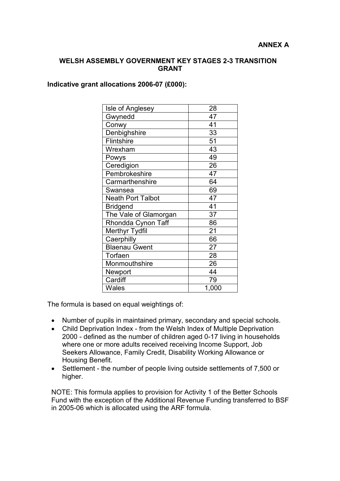#### **WELSH ASSEMBLY GOVERNMENT KEY STAGES 2-3 TRANSITION GRANT**

#### **Indicative grant allocations 2006-07 (£000):**

| Isle of Anglesey         | 28    |
|--------------------------|-------|
| Gwynedd                  | 47    |
| Conwy                    | 41    |
| Denbighshire             | 33    |
| <b>Flintshire</b>        | 51    |
| Wrexham                  | 43    |
| Powys                    | 49    |
| Ceredigion               | 26    |
| Pembrokeshire            | 47    |
| Carmarthenshire          | 64    |
| Swansea                  | 69    |
| <b>Neath Port Talbot</b> | 47    |
| <b>Bridgend</b>          | 41    |
| The Vale of Glamorgan    | 37    |
| Rhondda Cynon Taff       | 86    |
| Merthyr Tydfil           | 21    |
| Caerphilly               | 66    |
| <b>Blaenau Gwent</b>     | 27    |
| Torfaen                  | 28    |
| Monmouthshire            | 26    |
| Newport                  | 44    |
| Cardiff                  | 79    |
| Wales                    | 1,000 |

The formula is based on equal weightings of:

- Number of pupils in maintained primary, secondary and special schools.
- Child Deprivation Index from the Welsh Index of Multiple Deprivation 2000 - defined as the number of children aged 0-17 living in households where one or more adults received receiving Income Support, Job Seekers Allowance, Family Credit, Disability Working Allowance or Housing Benefit.
- Settlement the number of people living outside settlements of 7,500 or higher.

NOTE: This formula applies to provision for Activity 1 of the Better Schools Fund with the exception of the Additional Revenue Funding transferred to BSF in 2005-06 which is allocated using the ARF formula.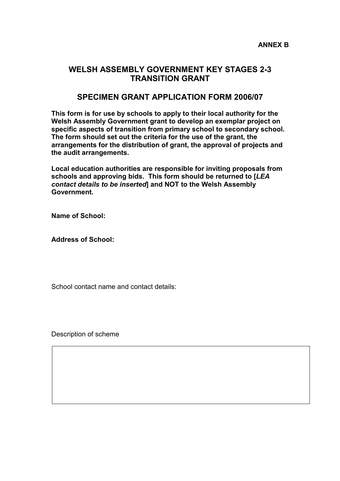## **WELSH ASSEMBLY GOVERNMENT KEY STAGES 2-3 TRANSITION GRANT**

### **SPECIMEN GRANT APPLICATION FORM 2006/07**

**This form is for use by schools to apply to their local authority for the Welsh Assembly Government grant to develop an exemplar project on specific aspects of transition from primary school to secondary school. The form should set out the criteria for the use of the grant, the arrangements for the distribution of grant, the approval of projects and the audit arrangements.**

**Local education authorities are responsible for inviting proposals from schools and approving bids. This form should be returned to [***LEA contact details to be inserted***] and NOT to the Welsh Assembly Government.**

**Name of School:**

**Address of School:**

School contact name and contact details:

Description of scheme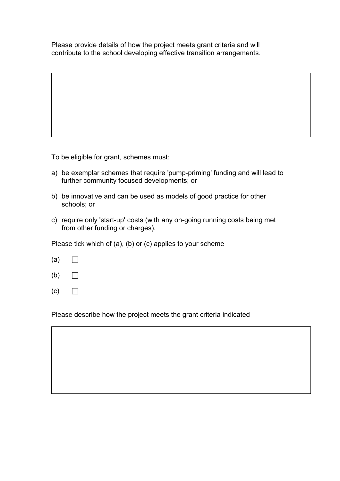Please provide details of how the project meets grant criteria and will contribute to the school developing effective transition arrangements.

To be eligible for grant, schemes must:

- a) be exemplar schemes that require 'pump-priming' funding and will lead to further community focused developments; or
- b) be innovative and can be used as models of good practice for other schools; or
- c) require only 'start-up' costs (with any on-going running costs being met from other funding or charges).

Please tick which of (a), (b) or (c) applies to your scheme

- $(a) \Box$
- $(b)$   $\Box$
- $(c)$   $\Box$

Please describe how the project meets the grant criteria indicated